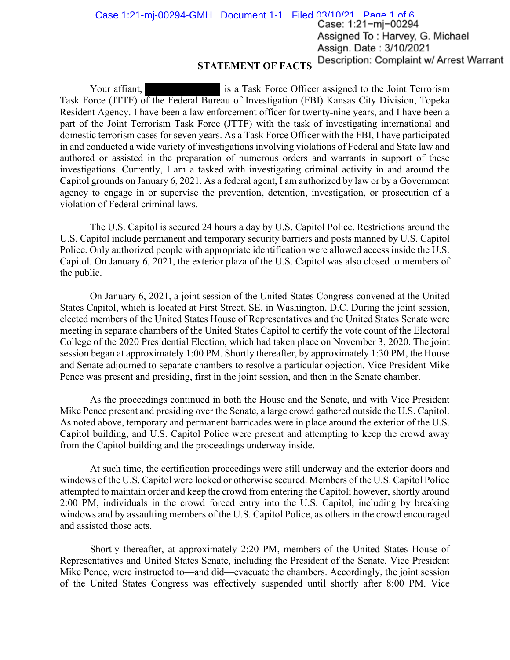**STATEMENT OF FACTS**  Case 1:21-mj-00294-GMH Document 1-1 Filed 03/10/21 Page 1 of 6 **Case: 1** :21- mj- <sup>00294</sup> Assigned To: Harvey, G. Michael Assign. Date: 3/10/2021 **Description: Complaint w/ Arrest Warrant** 

Your affiant, is a Task Force Officer assigned to the Joint Terrorism Task Force (JTTF) of the Federal Bureau of Investigation (FBI) Kansas City Division, Topeka Resident Agency. I have been a law enforcement officer for twenty-nine years, and I have been a part of the Joint Terrorism Task Force (JTTF) with the task of investigating international and domestic terrorism cases for seven years. As a Task Force Officer with the FBI, I have participated in and conducted a wide variety of investigations involving violations of Federal and State law and authored or assisted in the preparation of numerous orders and warrants in support of these investigations. Currently, I am a tasked with investigating criminal activity in and around the Capitol grounds on January 6, 2021. As a federal agent, I am authorized by law or by a Government agency to engage in or supervise the prevention, detention, investigation, or prosecution of a violation of Federal criminal laws.

The U.S. Capitol is secured 24 hours a day by U.S. Capitol Police. Restrictions around the U.S. Capitol include permanent and temporary security barriers and posts manned by U.S. Capitol Police. Only authorized people with appropriate identification were allowed access inside the U.S. Capitol. On January 6, 2021, the exterior plaza of the U.S. Capitol was also closed to members of the public.

On January 6, 2021, a joint session of the United States Congress convened at the United States Capitol, which is located at First Street, SE, in Washington, D.C. During the joint session, elected members of the United States House of Representatives and the United States Senate were meeting in separate chambers of the United States Capitol to certify the vote count of the Electoral College of the 2020 Presidential Election, which had taken place on November 3, 2020. The joint session began at approximately 1:00 PM. Shortly thereafter, by approximately 1:30 PM, the House and Senate adjourned to separate chambers to resolve a particular objection. Vice President Mike Pence was present and presiding, first in the joint session, and then in the Senate chamber.

As the proceedings continued in both the House and the Senate, and with Vice President Mike Pence present and presiding over the Senate, a large crowd gathered outside the U.S. Capitol. As noted above, temporary and permanent barricades were in place around the exterior of the U.S. Capitol building, and U.S. Capitol Police were present and attempting to keep the crowd away from the Capitol building and the proceedings underway inside.

At such time, the certification proceedings were still underway and the exterior doors and windows of the U.S. Capitol were locked or otherwise secured. Members of the U.S. Capitol Police attempted to maintain order and keep the crowd from entering the Capitol; however, shortly around 2:00 PM, individuals in the crowd forced entry into the U.S. Capitol, including by breaking windows and by assaulting members of the U.S. Capitol Police, as others in the crowd encouraged and assisted those acts.

Shortly thereafter, at approximately 2:20 PM, members of the United States House of Representatives and United States Senate, including the President of the Senate, Vice President Mike Pence, were instructed to—and did—evacuate the chambers. Accordingly, the joint session of the United States Congress was effectively suspended until shortly after 8:00 PM. Vice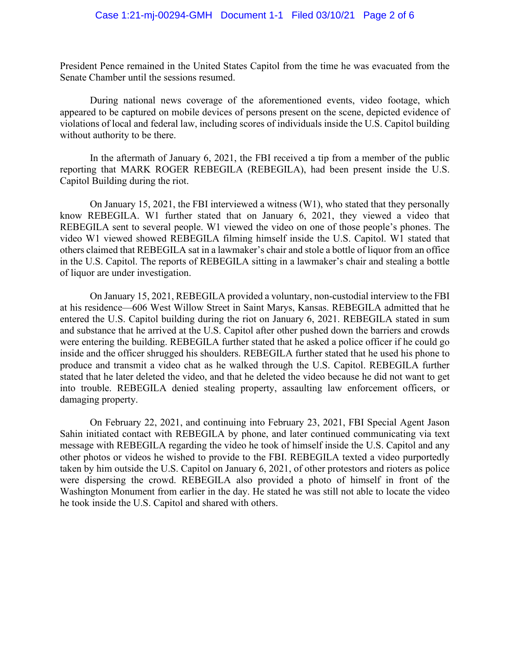President Pence remained in the United States Capitol from the time he was evacuated from the Senate Chamber until the sessions resumed.

During national news coverage of the aforementioned events, video footage, which appeared to be captured on mobile devices of persons present on the scene, depicted evidence of violations of local and federal law, including scores of individuals inside the U.S. Capitol building without authority to be there.

In the aftermath of January 6, 2021, the FBI received a tip from a member of the public reporting that MARK ROGER REBEGILA (REBEGILA), had been present inside the U.S. Capitol Building during the riot.

On January 15, 2021, the FBI interviewed a witness (W1), who stated that they personally know REBEGILA. W1 further stated that on January 6, 2021, they viewed a video that REBEGILA sent to several people. W1 viewed the video on one of those people's phones. The video W1 viewed showed REBEGILA filming himself inside the U.S. Capitol. W1 stated that others claimed that REBEGILA sat in a lawmaker's chair and stole a bottle of liquor from an office in the U.S. Capitol. The reports of REBEGILA sitting in a lawmaker's chair and stealing a bottle of liquor are under investigation.

 stated that he later deleted the video, and that he deleted the video because he did not want to get On January 15, 2021, REBEGILA provided a voluntary, non-custodial interview to the FBI at his residence—606 West Willow Street in Saint Marys, Kansas. REBEGILA admitted that he entered the U.S. Capitol building during the riot on January 6, 2021. REBEGILA stated in sum and substance that he arrived at the U.S. Capitol after other pushed down the barriers and crowds were entering the building. REBEGILA further stated that he asked a police officer if he could go inside and the officer shrugged his shoulders. REBEGILA further stated that he used his phone to produce and transmit a video chat as he walked through the U.S. Capitol. REBEGILA further into trouble. REBEGILA denied stealing property, assaulting law enforcement officers, or damaging property.

On February 22, 2021, and continuing into February 23, 2021, FBI Special Agent Jason Sahin initiated contact with REBEGILA by phone, and later continued communicating via text message with REBEGILA regarding the video he took of himself inside the U.S. Capitol and any other photos or videos he wished to provide to the FBI. REBEGILA texted a video purportedly taken by him outside the U.S. Capitol on January 6, 2021, of other protestors and rioters as police were dispersing the crowd. REBEGILA also provided a photo of himself in front of the Washington Monument from earlier in the day. He stated he was still not able to locate the video he took inside the U.S. Capitol and shared with others.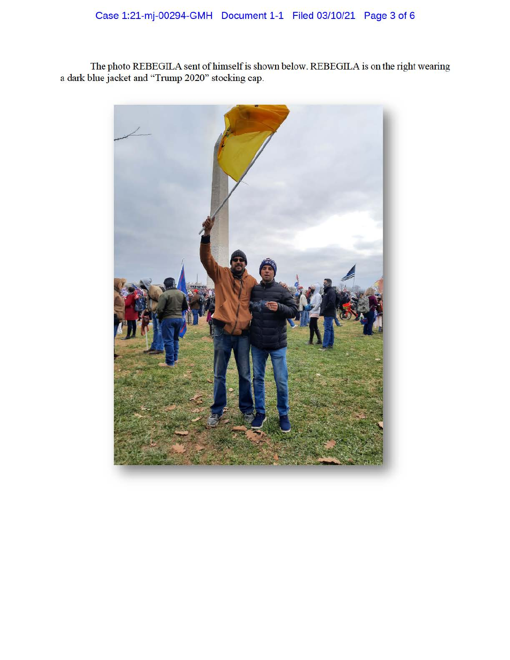The photo REBEGILA sent of himself is shown below. REBEGILA is on the right wearing a dark blue jacket and "Trump 2020" stocking cap.

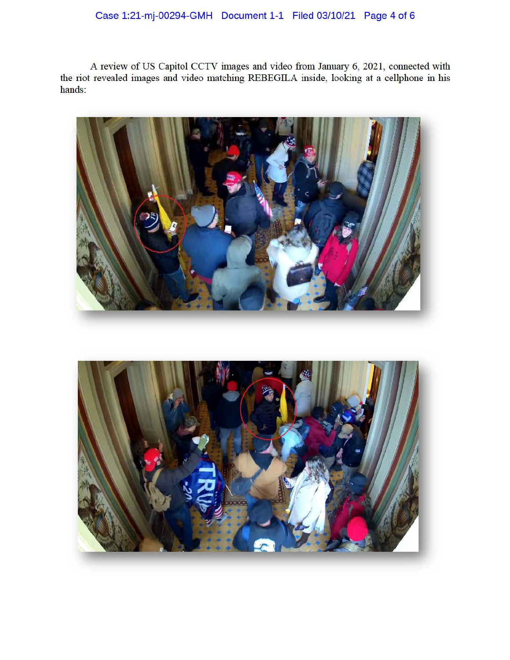## Case 1:21-mj-00294-GMH Document 1-1 Filed 03/10/21 Page 4 of 6

A review of US Capitol CCTV images and video from Janmuy 6, 2021, connected with the riot revealed images and video matching REBEGILA inside, looking at a cellphone in his hands:



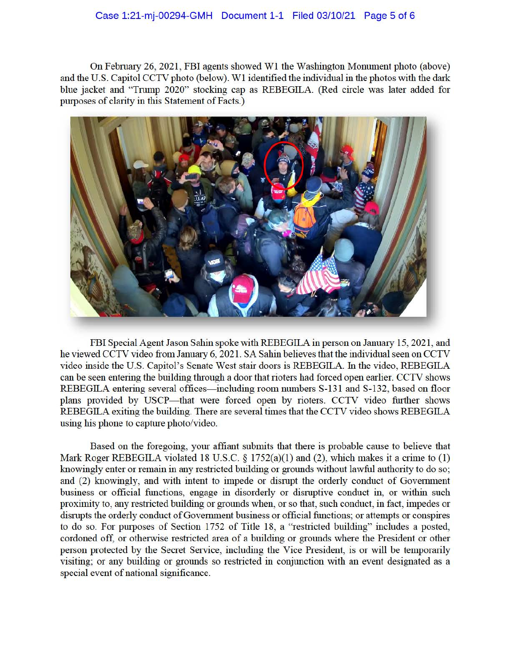On February 26, 2021, FBI agents showed W1 the Washington Monument photo (above) and the U.S. Capitol CCTV photo (below). Wl identified the individual in the photos with the dark blue jacket and "Trump 2020" stocking cap as REBEGILA. (Red circle was later added for purposes of clarity in this Statement of Facts.)



FBI Special Agent Jason Sahin spoke with REBEGILA in person on January 15, 2021, and he viewed CCTV video from January 6, 2021. SA Sahin believes that the individual seen on CCTV video inside the U.S. Capitol's Senate West stair doors is REBEGILA. In the video, REBEGILA can be seen entering the building through a door that rioters had forced open earlier. CCTV shows REBEGILA entering several offices—including room numbers S-131 and S-132, based on floor plans provided by USCP-that were forced open by rioters. CCTV video further shows REBEGILA exiting the building. There are several times that the CCTV video shows REBEGILA using his phone to capture photo/video.

Based on the foregoing, your affiant submits that there is probable cause to believe that Mark Roger REBEGILA violated 18 U.S.C. § 1752(a)(1) and (2), which makes it a crime to (1) knowingly enter or remain in any restricted building or grounds without lawful authority to do so; and (2) knowingly, and with intent to impede or dismpt the orderly conduct of Government business or official functions, engage in disorderly or dismptive conduct in, or within such proximity to, any restricted building or grounds when, or so that, such conduct, in fact, impedes or disrupts the orderly conduct of Government business or official functions; or attempts or conspires to do so. For purposes of Section 1752 of Title 18, a "restricted building" includes a posted, cordoned off, or otherwise restricted area of a building or grounds where the President or other person protected by the Secret Service, including the Vice President, is or will be temporarily visiting; or any building or grounds so restricted in conjunction with an event designated as a special event of national significance.